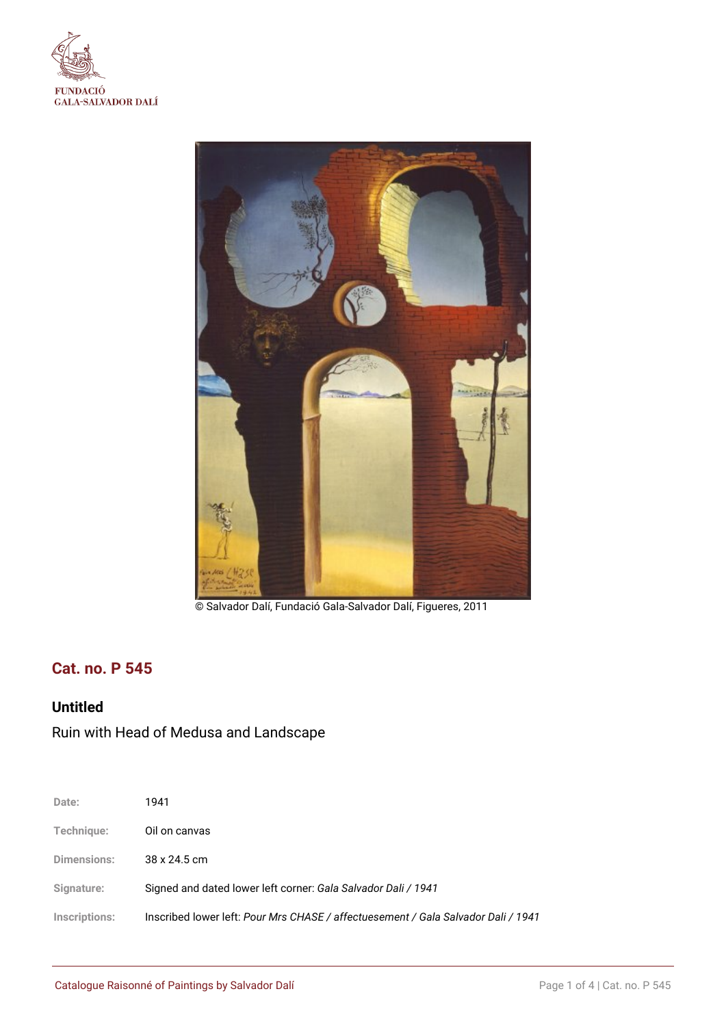



© Salvador Dalí, Fundació Gala-Salvador Dalí, Figueres, 2011

## **Cat. no. P 545**

## **Untitled**

# Ruin with Head of Medusa and Landscape

| Date:         | 1941                                                                              |
|---------------|-----------------------------------------------------------------------------------|
| Technique:    | Oil on canvas                                                                     |
| Dimensions:   | 38 x 24.5 cm                                                                      |
| Signature:    | Signed and dated lower left corner: Gala Salvador Dali / 1941                     |
| Inscriptions: | Inscribed lower left: Pour Mrs CHASE / affectuesement / Gala Salvador Dali / 1941 |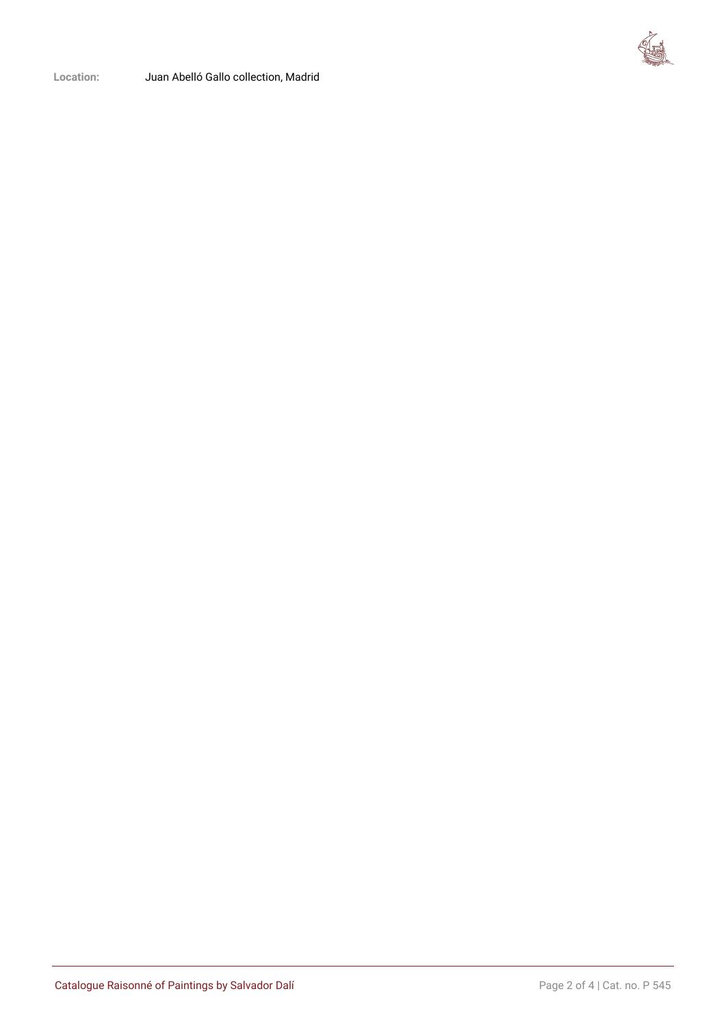

**Location:** Juan Abelló Gallo collection, Madrid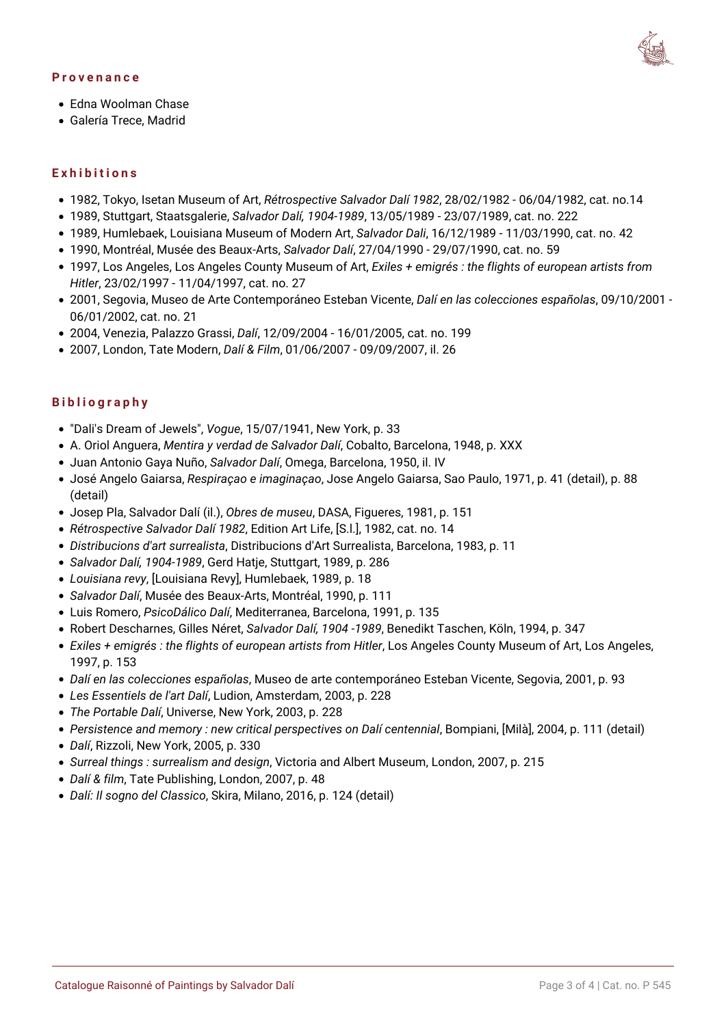#### **Provenance**



- Edna Woolman Chase
- Galería Trece, Madrid

### **Exhibitions**

- 1982, Tokyo, Isetan Museum of Art, *Rétrospective Salvador Dalí 1982*, 28/02/1982 06/04/1982, cat. no.14
- 1989, Stuttgart, Staatsgalerie, *Salvador Dalí, 1904-1989*, 13/05/1989 23/07/1989, cat. no. 222
- 1989, Humlebaek, Louisiana Museum of Modern Art, *Salvador Dali*, 16/12/1989 11/03/1990, cat. no. 42
- 1990, Montréal, Musée des Beaux-Arts, *Salvador Dalí*, 27/04/1990 29/07/1990, cat. no. 59
- 1997, Los Angeles, Los Angeles County Museum of Art, *Exiles + emigrés : the flights of european artists from Hitler*, 23/02/1997 - 11/04/1997, cat. no. 27
- 2001, Segovia, Museo de Arte Contemporáneo Esteban Vicente, *Dalí en las colecciones españolas*, 09/10/2001 06/01/2002, cat. no. 21
- 2004, Venezia, Palazzo Grassi, *Dalí*, 12/09/2004 16/01/2005, cat. no. 199
- 2007, London, Tate Modern, *Dalí & Film*, 01/06/2007 09/09/2007, il. 26

### **Bibliography**

- "Dali's Dream of Jewels", *Vogue*, 15/07/1941, New York, p. 33
- A. Oriol Anguera, *Mentira y verdad de Salvador Dalí*, Cobalto, Barcelona, 1948, p. XXX
- Juan Antonio Gaya Nuño, *Salvador Dalí*, Omega, Barcelona, 1950, il. IV
- José Angelo Gaiarsa, *Respiraçao e imaginaçao*, Jose Angelo Gaiarsa, Sao Paulo, 1971, p. 41 (detail), p. 88 (detail)
- Josep Pla, Salvador Dalí (il.), *Obres de museu*, DASA, Figueres, 1981, p. 151
- *Rétrospective Salvador Dalí 1982*, Edition Art Life, [S.l.], 1982, cat. no. 14
- *Distribucions d'art surrealista*, Distribucions d'Art Surrealista, Barcelona, 1983, p. 11
- *Salvador Dalí, 1904-1989*, Gerd Hatje, Stuttgart, 1989, p. 286
- *Louisiana revy*, [Louisiana Revy], Humlebaek, 1989, p. 18
- *Salvador Dalí*, Musée des Beaux-Arts, Montréal, 1990, p. 111
- Luis Romero, *PsicoDálico Dalí*, Mediterranea, Barcelona, 1991, p. 135
- Robert Descharnes, Gilles Néret, *Salvador Dalí, 1904 -1989*, Benedikt Taschen, Köln, 1994, p. 347
- *Exiles + emigrés : the flights of european artists from Hitler*, Los Angeles County Museum of Art, Los Angeles, 1997, p. 153
- *Dalí en las colecciones españolas*, Museo de arte contemporáneo Esteban Vicente, Segovia, 2001, p. 93
- *Les Essentiels de l'art Dalí*, Ludion, Amsterdam, 2003, p. 228
- *The Portable Dalí*, Universe, New York, 2003, p. 228
- *Persistence and memory : new critical perspectives on Dalí centennial*, Bompiani, [Milà], 2004, p. 111 (detail)
- *Dalí*, Rizzoli, New York, 2005, p. 330
- *Surreal things : surrealism and design*, Victoria and Albert Museum, London, 2007, p. 215
- *Dalí & film*, Tate Publishing, London, 2007, p. 48
- *Dalí: Il sogno del Classico*, Skira, Milano, 2016, p. 124 (detail)